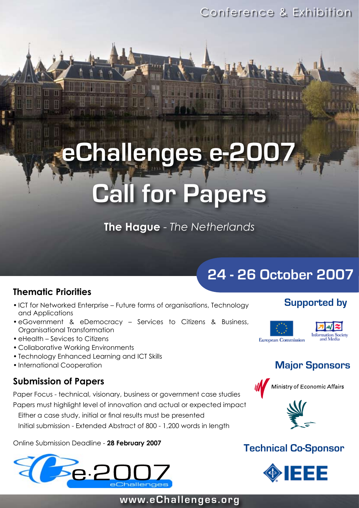Conference & Exhibition

# **rallenges Call for Papers**

**The Hague** - *The Netherlands*

# **Thematic Priorities**

- ICT for Networked Enterprise Future forms of organisations, Technology and Applications
- eGovernment & eDemocracy Services to Citizens & Business, Organisational Transformation
- eHealth Sevices to Citizens
- Collaborative Working Environments •
- Technology Enhanced Learning and ICT Skills
- International Cooperation

# **Submission of Papers**

Paper Focus - technical, visionary, business or government case studies

Papers must highlight level of innovation and actual or expected impact

Either a case study, initial or final results must be presented

Initial submission - Extended Abstract of 800 - 1,200 words in length

Online Submission Deadline - **28 February 2007**



# **24 - 26 October 2007**

# **Supported by**



# **Major Sponsors**





# **Technical Co-Sponsor**



# **www.eChallenges.org**